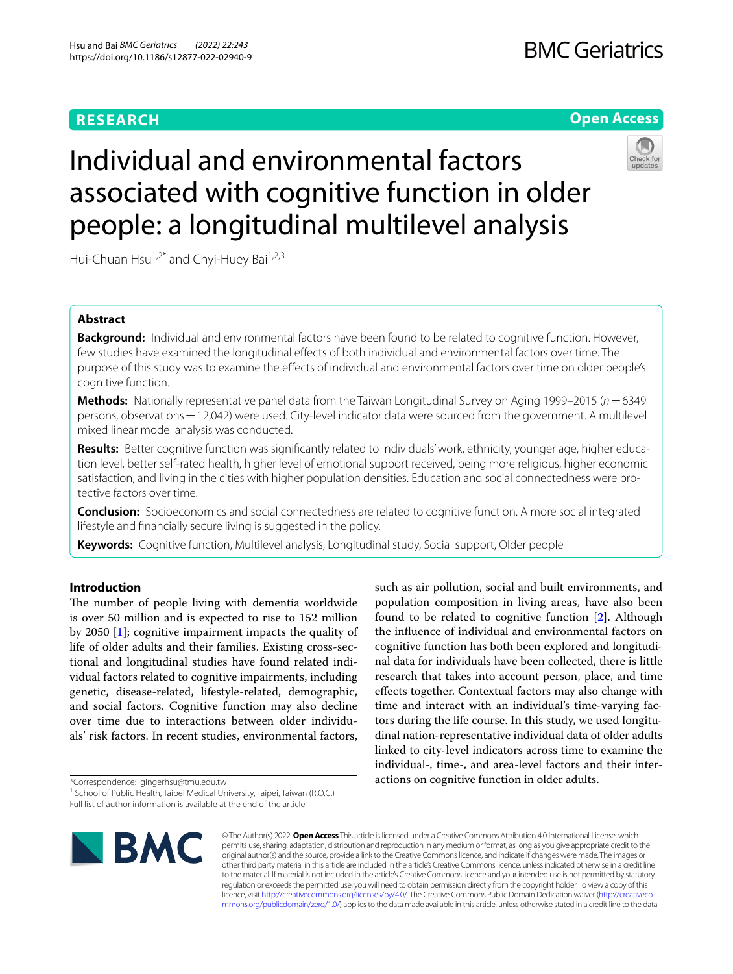# **RESEARCH**

# **BMC Geriatrics**

# **Open Access**



# Individual and environmental factors associated with cognitive function in older people: a longitudinal multilevel analysis

Hui-Chuan Hsu<sup>1,2\*</sup> and Chyi-Huey Bai<sup>1,2,3</sup>

# **Abstract**

**Background:** Individual and environmental factors have been found to be related to cognitive function. However, few studies have examined the longitudinal efects of both individual and environmental factors over time. The purpose of this study was to examine the efects of individual and environmental factors over time on older people's cognitive function.

**Methods:** Nationally representative panel data from the Taiwan Longitudinal Survey on Aging 1999–2015 (*n*=6349 persons, observations=12,042) were used. City-level indicator data were sourced from the government. A multilevel mixed linear model analysis was conducted.

Results: Better cognitive function was significantly related to individuals' work, ethnicity, younger age, higher education level, better self-rated health, higher level of emotional support received, being more religious, higher economic satisfaction, and living in the cities with higher population densities. Education and social connectedness were protective factors over time.

**Conclusion:** Socioeconomics and social connectedness are related to cognitive function. A more social integrated lifestyle and fnancially secure living is suggested in the policy.

**Keywords:** Cognitive function, Multilevel analysis, Longitudinal study, Social support, Older people

# **Introduction**

The number of people living with dementia worldwide is over 50 million and is expected to rise to 152 million by 2050 [\[1](#page-7-0)]; cognitive impairment impacts the quality of life of older adults and their families. Existing cross-sectional and longitudinal studies have found related individual factors related to cognitive impairments, including genetic, disease-related, lifestyle-related, demographic, and social factors. Cognitive function may also decline over time due to interactions between older individuals' risk factors. In recent studies, environmental factors,

\*Correspondence: gingerhsu@tmu.edu.tw

<sup>&</sup>lt;sup>1</sup> School of Public Health, Taipei Medical University, Taipei, Taiwan (R.O.C.) Full list of author information is available at the end of the article



such as air pollution, social and built environments, and population composition in living areas, have also been found to be related to cognitive function [[2\]](#page-7-1). Although the infuence of individual and environmental factors on cognitive function has both been explored and longitudinal data for individuals have been collected, there is little research that takes into account person, place, and time efects together. Contextual factors may also change with time and interact with an individual's time-varying factors during the life course. In this study, we used longitudinal nation-representative individual data of older adults linked to city-level indicators across time to examine the individual-, time-, and area-level factors and their interactions on cognitive function in older adults.

© The Author(s) 2022. **Open Access** This article is licensed under a Creative Commons Attribution 4.0 International License, which permits use, sharing, adaptation, distribution and reproduction in any medium or format, as long as you give appropriate credit to the original author(s) and the source, provide a link to the Creative Commons licence, and indicate if changes were made. The images or other third party material in this article are included in the article's Creative Commons licence, unless indicated otherwise in a credit line to the material. If material is not included in the article's Creative Commons licence and your intended use is not permitted by statutory regulation or exceeds the permitted use, you will need to obtain permission directly from the copyright holder. To view a copy of this licence, visit [http://creativecommons.org/licenses/by/4.0/.](http://creativecommons.org/licenses/by/4.0/) The Creative Commons Public Domain Dedication waiver ([http://creativeco](http://creativecommons.org/publicdomain/zero/1.0/) [mmons.org/publicdomain/zero/1.0/](http://creativecommons.org/publicdomain/zero/1.0/)) applies to the data made available in this article, unless otherwise stated in a credit line to the data.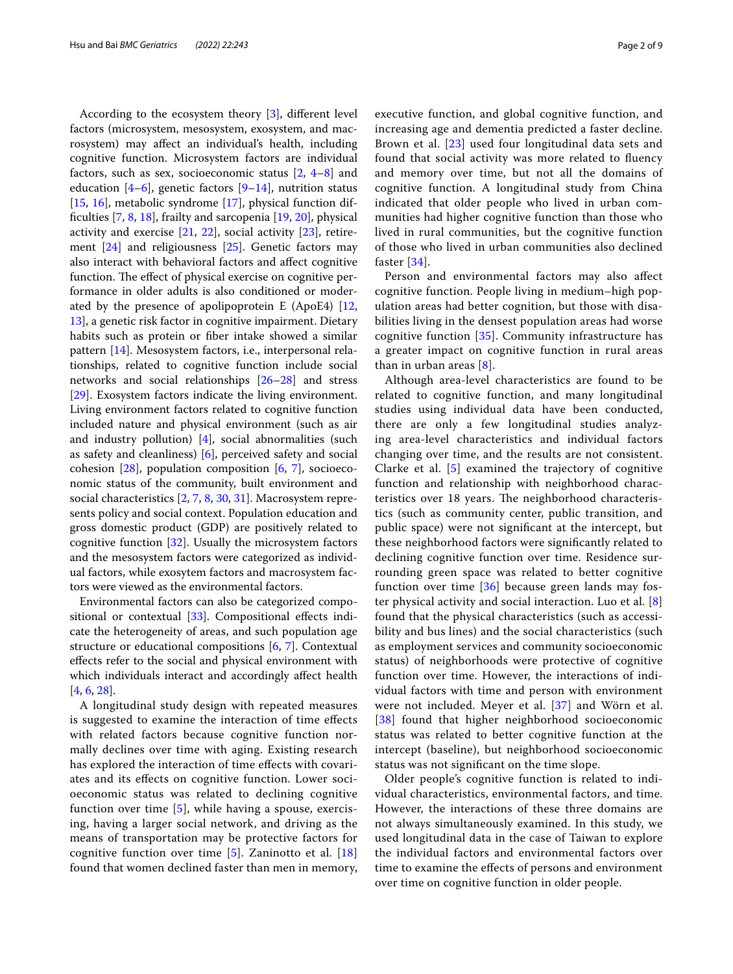According to the ecosystem theory [\[3](#page-7-2)], diferent level factors (microsystem, mesosystem, exosystem, and macrosystem) may afect an individual's health, including cognitive function. Microsystem factors are individual factors, such as sex, socioeconomic status  $[2, 4-8]$  $[2, 4-8]$  $[2, 4-8]$  $[2, 4-8]$  $[2, 4-8]$  and education  $[4-6]$  $[4-6]$ , genetic factors  $[9-14]$  $[9-14]$  $[9-14]$ , nutrition status [[15,](#page-7-8) [16\]](#page-8-0), metabolic syndrome [[17\]](#page-8-1), physical function diffculties [\[7](#page-7-9), [8,](#page-7-4) [18](#page-8-2)], frailty and sarcopenia [\[19](#page-8-3), [20\]](#page-8-4), physical activity and exercise [\[21,](#page-8-5) [22\]](#page-8-6), social activity [[23\]](#page-8-7), retirement [[24\]](#page-8-8) and religiousness [\[25\]](#page-8-9). Genetic factors may also interact with behavioral factors and afect cognitive function. The effect of physical exercise on cognitive performance in older adults is also conditioned or moderated by the presence of apolipoprotein E (ApoE4) [\[12](#page-7-10), [13\]](#page-7-11), a genetic risk factor in cognitive impairment. Dietary habits such as protein or fber intake showed a similar pattern [[14](#page-7-7)]. Mesosystem factors, i.e., interpersonal relationships, related to cognitive function include social networks and social relationships [\[26–](#page-8-10)[28\]](#page-8-11) and stress [[29\]](#page-8-12). Exosystem factors indicate the living environment. Living environment factors related to cognitive function included nature and physical environment (such as air and industry pollution)  $[4]$  $[4]$ , social abnormalities (such as safety and cleanliness) [[6](#page-7-5)], perceived safety and social cohesion [\[28](#page-8-11)], population composition [\[6](#page-7-5), [7](#page-7-9)], socioeconomic status of the community, built environment and social characteristics [\[2](#page-7-1), [7,](#page-7-9) [8](#page-7-4), [30,](#page-8-13) [31](#page-8-14)]. Macrosystem represents policy and social context. Population education and gross domestic product (GDP) are positively related to cognitive function [[32](#page-8-15)]. Usually the microsystem factors and the mesosystem factors were categorized as individual factors, while exosytem factors and macrosystem factors were viewed as the environmental factors.

Environmental factors can also be categorized compositional or contextual [\[33\]](#page-8-16). Compositional efects indicate the heterogeneity of areas, and such population age structure or educational compositions [[6](#page-7-5), [7\]](#page-7-9). Contextual efects refer to the social and physical environment with which individuals interact and accordingly afect health [[4,](#page-7-3) [6](#page-7-5), [28\]](#page-8-11).

A longitudinal study design with repeated measures is suggested to examine the interaction of time efects with related factors because cognitive function normally declines over time with aging. Existing research has explored the interaction of time efects with covariates and its efects on cognitive function. Lower socioeconomic status was related to declining cognitive function over time  $[5]$  $[5]$ , while having a spouse, exercising, having a larger social network, and driving as the means of transportation may be protective factors for cognitive function over time  $[5]$  $[5]$ . Zaninotto et al.  $[18]$  $[18]$ found that women declined faster than men in memory, executive function, and global cognitive function, and increasing age and dementia predicted a faster decline. Brown et al. [[23\]](#page-8-7) used four longitudinal data sets and found that social activity was more related to fuency and memory over time, but not all the domains of cognitive function. A longitudinal study from China indicated that older people who lived in urban communities had higher cognitive function than those who lived in rural communities, but the cognitive function of those who lived in urban communities also declined faster [[34](#page-8-17)].

Person and environmental factors may also afect cognitive function. People living in medium–high population areas had better cognition, but those with disabilities living in the densest population areas had worse cognitive function [\[35](#page-8-18)]. Community infrastructure has a greater impact on cognitive function in rural areas than in urban areas  $[8]$  $[8]$ .

Although area-level characteristics are found to be related to cognitive function, and many longitudinal studies using individual data have been conducted, there are only a few longitudinal studies analyzing area-level characteristics and individual factors changing over time, and the results are not consistent. Clarke et al. [\[5](#page-7-12)] examined the trajectory of cognitive function and relationship with neighborhood characteristics over 18 years. The neighborhood characteristics (such as community center, public transition, and public space) were not signifcant at the intercept, but these neighborhood factors were signifcantly related to declining cognitive function over time. Residence surrounding green space was related to better cognitive function over time [[36](#page-8-19)] because green lands may foster physical activity and social interaction. Luo et al. [\[8](#page-7-4)] found that the physical characteristics (such as accessibility and bus lines) and the social characteristics (such as employment services and community socioeconomic status) of neighborhoods were protective of cognitive function over time. However, the interactions of individual factors with time and person with environment were not included. Meyer et al. [[37](#page-8-20)] and Wörn et al. [[38](#page-8-21)] found that higher neighborhood socioeconomic status was related to better cognitive function at the intercept (baseline), but neighborhood socioeconomic status was not signifcant on the time slope.

Older people's cognitive function is related to individual characteristics, environmental factors, and time. However, the interactions of these three domains are not always simultaneously examined. In this study, we used longitudinal data in the case of Taiwan to explore the individual factors and environmental factors over time to examine the efects of persons and environment over time on cognitive function in older people.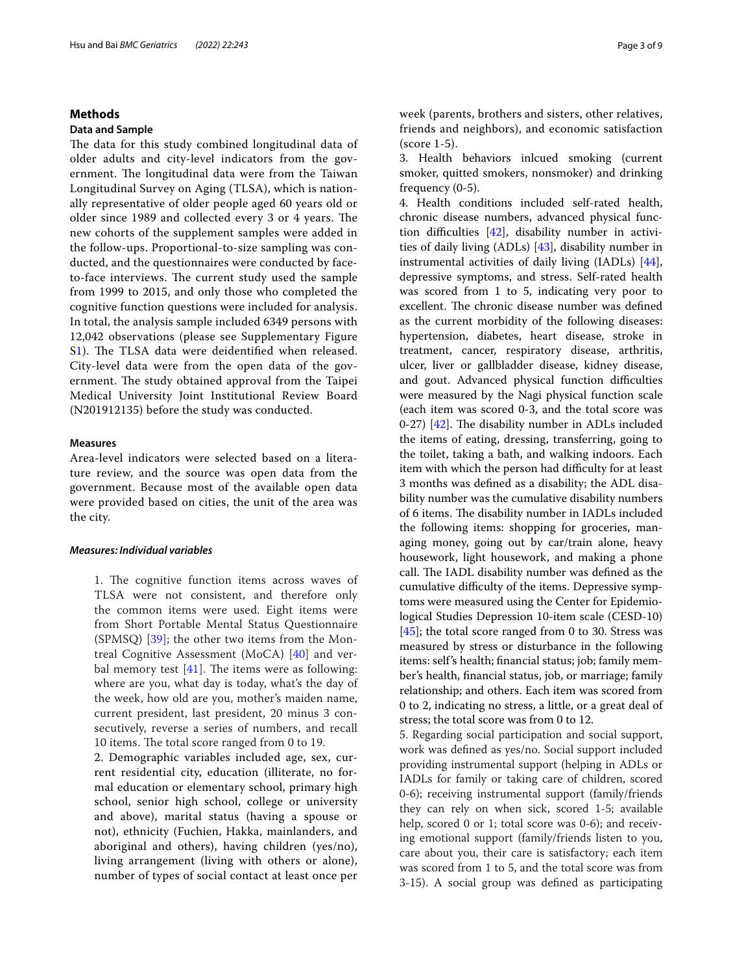## **Methods**

#### **Data and Sample**

The data for this study combined longitudinal data of older adults and city-level indicators from the government. The longitudinal data were from the Taiwan Longitudinal Survey on Aging (TLSA), which is nationally representative of older people aged 60 years old or older since 1989 and collected every 3 or 4 years. The new cohorts of the supplement samples were added in the follow-ups. Proportional-to-size sampling was conducted, and the questionnaires were conducted by faceto-face interviews. The current study used the sample from 1999 to 2015, and only those who completed the cognitive function questions were included for analysis. In total, the analysis sample included 6349 persons with 12,042 observations (please see Supplementary Figure S[1\)](#page-7-13). The TLSA data were deidentified when released. City-level data were from the open data of the government. The study obtained approval from the Taipei Medical University Joint Institutional Review Board (N201912135) before the study was conducted.

#### **Measures**

Area-level indicators were selected based on a literature review, and the source was open data from the government. Because most of the available open data were provided based on cities, the unit of the area was the city.

# *Measures: Individual variables*

1. The cognitive function items across waves of TLSA were not consistent, and therefore only the common items were used. Eight items were from Short Portable Mental Status Questionnaire (SPMSQ) [\[39](#page-8-22)]; the other two items from the Montreal Cognitive Assessment (MoCA) [\[40](#page-8-23)] and verbal memory test  $[41]$  $[41]$ . The items were as following: where are you, what day is today, what's the day of the week, how old are you, mother's maiden name, current president, last president, 20 minus 3 consecutively, reverse a series of numbers, and recall 10 items. The total score ranged from 0 to 19.

2. Demographic variables included age, sex, current residential city, education (illiterate, no formal education or elementary school, primary high school, senior high school, college or university and above), marital status (having a spouse or not), ethnicity (Fuchien, Hakka, mainlanders, and aboriginal and others), having children (yes/no), living arrangement (living with others or alone), number of types of social contact at least once per

week (parents, brothers and sisters, other relatives, friends and neighbors), and economic satisfaction (score 1-5).

3. Health behaviors inlcued smoking (current smoker, quitted smokers, nonsmoker) and drinking frequency (0-5).

4. Health conditions included self-rated health, chronic disease numbers, advanced physical function difficulties  $[42]$ , disability number in activities of daily living (ADLs) [\[43\]](#page-8-26), disability number in instrumental activities of daily living (IADLs) [\[44](#page-8-27)], depressive symptoms, and stress. Self-rated health was scored from 1 to 5, indicating very poor to excellent. The chronic disease number was defined as the current morbidity of the following diseases: hypertension, diabetes, heart disease, stroke in treatment, cancer, respiratory disease, arthritis, ulcer, liver or gallbladder disease, kidney disease, and gout. Advanced physical function difficulties were measured by the Nagi physical function scale (each item was scored 0-3, and the total score was 0-27)  $[42]$  $[42]$  $[42]$ . The disability number in ADLs included the items of eating, dressing, transferring, going to the toilet, taking a bath, and walking indoors. Each item with which the person had difficulty for at least 3 months was defned as a disability; the ADL disability number was the cumulative disability numbers of 6 items. The disability number in IADLs included the following items: shopping for groceries, managing money, going out by car/train alone, heavy housework, light housework, and making a phone call. The IADL disability number was defined as the cumulative difficulty of the items. Depressive symptoms were measured using the Center for Epidemiological Studies Depression 10-item scale (CESD-10) [[45\]](#page-8-28); the total score ranged from 0 to 30. Stress was measured by stress or disturbance in the following items: self's health; fnancial status; job; family member's health, fnancial status, job, or marriage; family relationship; and others. Each item was scored from 0 to 2, indicating no stress, a little, or a great deal of stress; the total score was from 0 to 12.

5. Regarding social participation and social support, work was defned as yes/no. Social support included providing instrumental support (helping in ADLs or IADLs for family or taking care of children, scored 0-6); receiving instrumental support (family/friends they can rely on when sick, scored 1-5; available help, scored 0 or 1; total score was 0-6); and receiving emotional support (family/friends listen to you, care about you, their care is satisfactory; each item was scored from 1 to 5, and the total score was from 3-15). A social group was defned as participating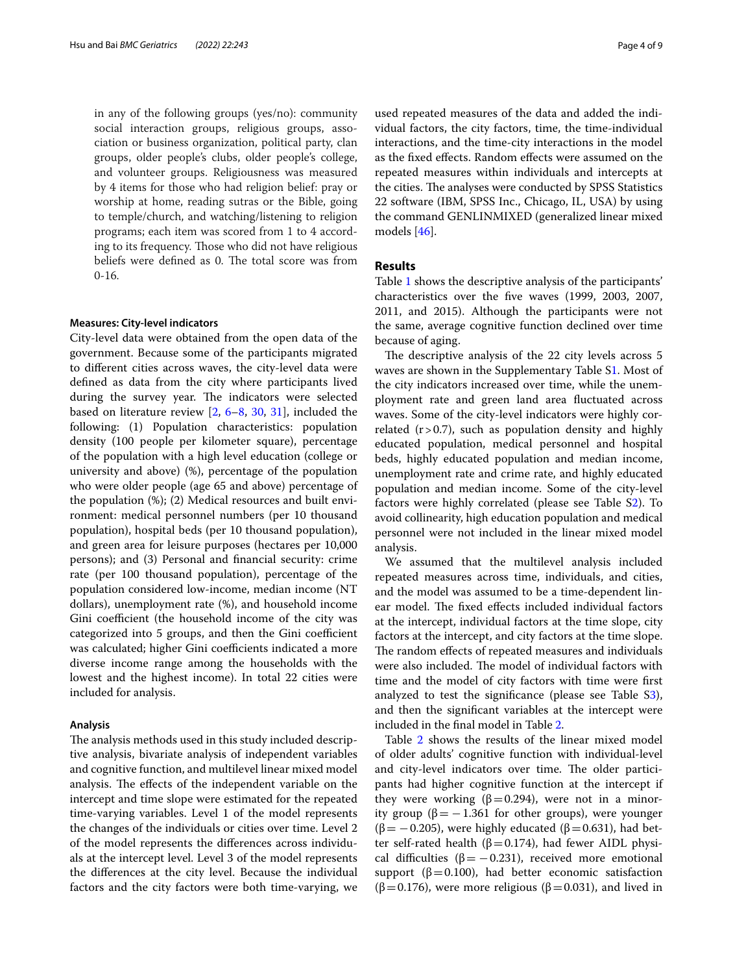in any of the following groups (yes/no): community social interaction groups, religious groups, association or business organization, political party, clan groups, older people's clubs, older people's college, and volunteer groups. Religiousness was measured by 4 items for those who had religion belief: pray or worship at home, reading sutras or the Bible, going to temple/church, and watching/listening to religion programs; each item was scored from 1 to 4 according to its frequency. Those who did not have religious beliefs were defined as 0. The total score was from  $0 - 16.$ 

#### **Measures: City‑level indicators**

City-level data were obtained from the open data of the government. Because some of the participants migrated to diferent cities across waves, the city-level data were defned as data from the city where participants lived during the survey year. The indicators were selected based on literature review [\[2](#page-7-1), [6–](#page-7-5)[8,](#page-7-4) [30](#page-8-13), [31\]](#page-8-14), included the following: (1) Population characteristics: population density (100 people per kilometer square), percentage of the population with a high level education (college or university and above) (%), percentage of the population who were older people (age 65 and above) percentage of the population (%); (2) Medical resources and built environment: medical personnel numbers (per 10 thousand population), hospital beds (per 10 thousand population), and green area for leisure purposes (hectares per 10,000 persons); and (3) Personal and fnancial security: crime rate (per 100 thousand population), percentage of the population considered low-income, median income (NT dollars), unemployment rate (%), and household income Gini coefficient (the household income of the city was categorized into 5 groups, and then the Gini coefficient was calculated; higher Gini coefficients indicated a more diverse income range among the households with the lowest and the highest income). In total 22 cities were included for analysis.

#### **Analysis**

The analysis methods used in this study included descriptive analysis, bivariate analysis of independent variables and cognitive function, and multilevel linear mixed model analysis. The effects of the independent variable on the intercept and time slope were estimated for the repeated time-varying variables. Level 1 of the model represents the changes of the individuals or cities over time. Level 2 of the model represents the diferences across individuals at the intercept level. Level 3 of the model represents the diferences at the city level. Because the individual factors and the city factors were both time-varying, we

used repeated measures of the data and added the individual factors, the city factors, time, the time-individual interactions, and the time-city interactions in the model as the fxed efects. Random efects were assumed on the repeated measures within individuals and intercepts at the cities. The analyses were conducted by SPSS Statistics 22 software (IBM, SPSS Inc., Chicago, IL, USA) by using the command GENLINMIXED (generalized linear mixed models [[46\]](#page-8-29).

#### **Results**

Table [1](#page-4-0) shows the descriptive analysis of the participants' characteristics over the fve waves (1999, 2003, 2007, 2011, and 2015). Although the participants were not the same, average cognitive function declined over time because of aging.

The descriptive analysis of the 22 city levels across 5 waves are shown in the Supplementary Table S[1.](#page-7-13) Most of the city indicators increased over time, while the unemployment rate and green land area fuctuated across waves. Some of the city-level indicators were highly correlated  $(r > 0.7)$ , such as population density and highly educated population, medical personnel and hospital beds, highly educated population and median income, unemployment rate and crime rate, and highly educated population and median income. Some of the city-level factors were highly correlated (please see Table S[2\)](#page-7-13). To avoid collinearity, high education population and medical personnel were not included in the linear mixed model analysis.

We assumed that the multilevel analysis included repeated measures across time, individuals, and cities, and the model was assumed to be a time-dependent linear model. The fixed effects included individual factors at the intercept, individual factors at the time slope, city factors at the intercept, and city factors at the time slope. The random effects of repeated measures and individuals were also included. The model of individual factors with time and the model of city factors with time were frst analyzed to test the signifcance (please see Table [S3](#page-7-13)), and then the signifcant variables at the intercept were included in the fnal model in Table [2](#page-5-0).

Table [2](#page-5-0) shows the results of the linear mixed model of older adults' cognitive function with individual-level and city-level indicators over time. The older participants had higher cognitive function at the intercept if they were working ( $β = 0.294$ ), were not in a minority group ( $\beta$  = -1.361 for other groups), were younger  $(\beta = -0.205)$ , were highly educated ( $\beta = 0.631$ ), had better self-rated health (β=0.174), had fewer AIDL physical difficulties ( $\beta$  = -0.231), received more emotional support ( $\beta$ =0.100), had better economic satisfaction ( $\beta$ =0.176), were more religious ( $\beta$ =0.031), and lived in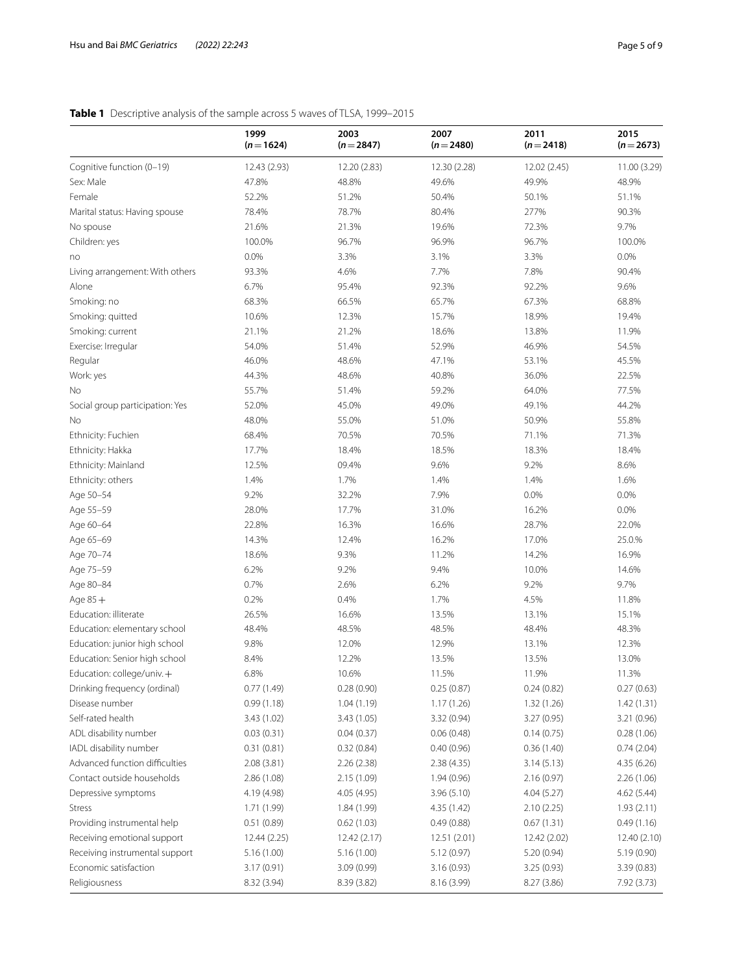# <span id="page-4-0"></span>**Table 1** Descriptive analysis of the sample across 5 waves of TLSA, 1999–2015

|                                 | 1999<br>$(n=1624)$ | 2003<br>$(n=2847)$ | 2007<br>$(n=2480)$ | 2011<br>$(n=2418)$ | 2015<br>$(n=2673)$ |
|---------------------------------|--------------------|--------------------|--------------------|--------------------|--------------------|
| Cognitive function (0-19)       | 12.43 (2.93)       | 12.20 (2.83)       | 12.30 (2.28)       | 12.02 (2.45)       | 11.00 (3.29)       |
| Sex: Male                       | 47.8%              | 48.8%              | 49.6%              | 49.9%              | 48.9%              |
| Female                          | 52.2%              | 51.2%              | 50.4%              | 50.1%              | 51.1%              |
| Marital status: Having spouse   | 78.4%              | 78.7%              | 80.4%              | 277%               | 90.3%              |
| No spouse                       | 21.6%              | 21.3%              | 19.6%              | 72.3%              | 9.7%               |
| Children: yes                   | 100.0%             | 96.7%              | 96.9%              | 96.7%              | 100.0%             |
| no                              | 0.0%               | 3.3%               | 3.1%               | 3.3%               | 0.0%               |
| Living arrangement: With others | 93.3%              | 4.6%               | 7.7%               | 7.8%               | 90.4%              |
| Alone                           | 6.7%               | 95.4%              | 92.3%              | 92.2%              | 9.6%               |
| Smoking: no                     | 68.3%              | 66.5%              | 65.7%              | 67.3%              | 68.8%              |
| Smoking: quitted                | 10.6%              | 12.3%              | 15.7%              | 18.9%              | 19.4%              |
| Smoking: current                | 21.1%              | 21.2%              | 18.6%              | 13.8%              | 11.9%              |
| Exercise: Irregular             | 54.0%              | 51.4%              | 52.9%              | 46.9%              | 54.5%              |
| Regular                         | 46.0%              | 48.6%              | 47.1%              | 53.1%              | 45.5%              |
| Work: yes                       | 44.3%              | 48.6%              | 40.8%              | 36.0%              | 22.5%              |
| No                              | 55.7%              | 51.4%              | 59.2%              | 64.0%              | 77.5%              |
| Social group participation: Yes | 52.0%              | 45.0%              | 49.0%              | 49.1%              | 44.2%              |
| No                              | 48.0%              | 55.0%              | 51.0%              | 50.9%              | 55.8%              |
| Ethnicity: Fuchien              | 68.4%              | 70.5%              | 70.5%              | 71.1%              | 71.3%              |
| Ethnicity: Hakka                | 17.7%              | 18.4%              | 18.5%              | 18.3%              | 18.4%              |
| Ethnicity: Mainland             | 12.5%              | 09.4%              | 9.6%               | 9.2%               | 8.6%               |
| Ethnicity: others               | 1.4%               | 1.7%               | 1.4%               | 1.4%               | 1.6%               |
| Age 50-54                       | 9.2%               | 32.2%              | 7.9%               | 0.0%               | 0.0%               |
| Age 55-59                       | 28.0%              | 17.7%              | 31.0%              | 16.2%              | 0.0%               |
| Age 60-64                       | 22.8%              | 16.3%              | 16.6%              | 28.7%              | 22.0%              |
| Age 65-69                       | 14.3%              | 12.4%              | 16.2%              | 17.0%              | 25.0.%             |
| Age 70-74                       | 18.6%              | 9.3%               | 11.2%              | 14.2%              | 16.9%              |
| Age 75-59                       | 6.2%               | 9.2%               | 9.4%               | 10.0%              | 14.6%              |
| Age 80-84                       | 0.7%               | 2.6%               | 6.2%               | 9.2%               | 9.7%               |
| Age $85+$                       | 0.2%               | 0.4%               | 1.7%               | 4.5%               | 11.8%              |
| Education: illiterate           | 26.5%              | 16.6%              | 13.5%              | 13.1%              | 15.1%              |
|                                 | 48.4%              | 48.5%              | 48.5%              |                    | 48.3%              |
| Education: elementary school    |                    |                    |                    | 48.4%              |                    |
| Education: junior high school   | 9.8%               | 12.0%              | 12.9%              | 13.1%              | 12.3%              |
| Education: Senior high school   | 8.4%               | 12.2%              | 13.5%              | 13.5%              | 13.0%              |
| Education: college/univ. $+$    | 6.8%               | 10.6%              | 11.5%              | 11.9%              | 11.3%              |
| Drinking frequency (ordinal)    | 0.77(1.49)         | 0.28(0.90)         | 0.25(0.87)         | 0.24(0.82)         | 0.27(0.63)         |
| Disease number                  | 0.99(1.18)         | 1.04(1.19)         | 1.17(1.26)         | 1.32(1.26)         | 1.42(1.31)         |
| Self-rated health               | 3.43 (1.02)        | 3.43 (1.05)        | 3.32 (0.94)        | 3.27 (0.95)        | 3.21 (0.96)        |
| ADL disability number           | 0.03(0.31)         | 0.04(0.37)         | 0.06(0.48)         | 0.14(0.75)         | 0.28(1.06)         |
| IADL disability number          | 0.31(0.81)         | 0.32(0.84)         | 0.40(0.96)         | 0.36(1.40)         | 0.74(2.04)         |
| Advanced function difficulties  | 2.08(3.81)         | 2.26(2.38)         | 2.38(4.35)         | 3.14(5.13)         | 4.35 (6.26)        |
| Contact outside households      | 2.86(1.08)         | 2.15(1.09)         | 1.94(0.96)         | 2.16(0.97)         | 2.26 (1.06)        |
| Depressive symptoms             | 4.19 (4.98)        | 4.05 (4.95)        | 3.96(5.10)         | 4.04(5.27)         | 4.62 (5.44)        |
| <b>Stress</b>                   | 1.71 (1.99)        | 1.84 (1.99)        | 4.35 (1.42)        | 2.10(2.25)         | 1.93(2.11)         |
| Providing instrumental help     | 0.51(0.89)         | 0.62(1.03)         | 0.49(0.88)         | 0.67(1.31)         | 0.49(1.16)         |
| Receiving emotional support     | 12.44 (2.25)       | 12.42 (2.17)       | 12.51(2.01)        | 12.42 (2.02)       | 12.40 (2.10)       |
| Receiving instrumental support  | 5.16(1.00)         | 5.16 (1.00)        | 5.12(0.97)         | 5.20 (0.94)        | 5.19 (0.90)        |
| Economic satisfaction           | 3.17 (0.91)        | 3.09(0.99)         | 3.16(0.93)         | 3.25(0.93)         | 3.39 (0.83)        |
| Religiousness                   | 8.32 (3.94)        | 8.39 (3.82)        | 8.16 (3.99)        | 8.27 (3.86)        | 7.92 (3.73)        |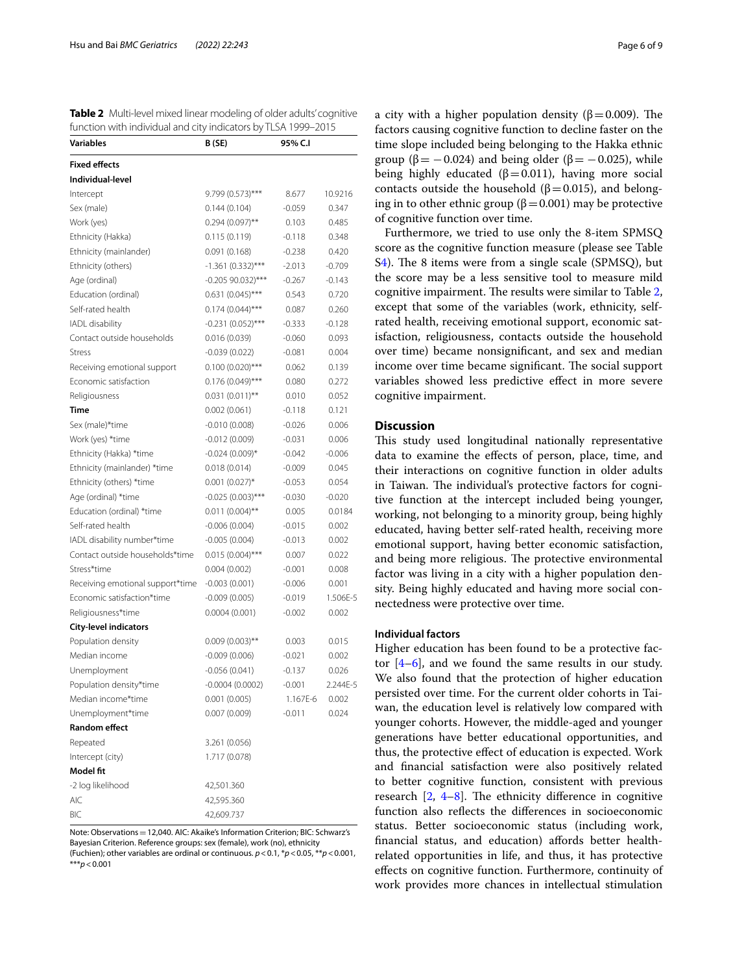<span id="page-5-0"></span>**Table 2** Multi-level mixed linear modeling of older adults' cognitive function with individual and city indicators by TLSA 1999–2015

| <b>Variables</b>                 | B (SE)              | 95% C.I  |          |
|----------------------------------|---------------------|----------|----------|
| <b>Fixed effects</b>             |                     |          |          |
| Individual-level                 |                     |          |          |
| Intercept                        | $9.799(0.573)$ ***  | 8.677    | 10.9216  |
| Sex (male)                       | 0.144(0.104)        | -0.059   | 0.347    |
| Work (yes)                       | $0.294(0.097)$ **   | 0.103    | 0.485    |
| Ethnicity (Hakka)                | 0.115(0.119)        | $-0.118$ | 0.348    |
| Ethnicity (mainlander)           | 0.091(0.168)        | $-0.238$ | 0.420    |
| Ethnicity (others)               | $-1.361(0.332)$ *** | $-2.013$ | $-0.709$ |
| Age (ordinal)                    | $-0.20590.032$ ***  | $-0.267$ | $-0.143$ |
| Education (ordinal)              | $0.631(0.045)$ ***  | 0.543    | 0.720    |
| Self-rated health                | $0.174(0.044)$ ***  | 0.087    | 0.260    |
| IADL disability                  | $-0.231(0.052)$ *** | $-0.333$ | $-0.128$ |
| Contact outside households       | 0.016(0.039)        | $-0.060$ | 0.093    |
| <b>Stress</b>                    | $-0.039(0.022)$     | $-0.081$ | 0.004    |
| Receiving emotional support      | $0.100(0.020)$ ***  | 0.062    | 0.139    |
| Economic satisfaction            | $0.176(0.049)$ ***  | 0.080    | 0.272    |
| Religiousness                    | $0.031(0.011)$ **   | 0.010    | 0.052    |
| Time                             | 0.002(0.061)        | $-0.118$ | 0.121    |
| Sex (male)*time                  | $-0.010(0.008)$     | $-0.026$ | 0.006    |
| Work (yes) *time                 | $-0.012(0.009)$     | $-0.031$ | 0.006    |
| Ethnicity (Hakka) *time          | $-0.024(0.009)*$    | $-0.042$ | $-0.006$ |
| Ethnicity (mainlander) *time     | 0.018(0.014)        | $-0.009$ | 0.045    |
| Ethnicity (others) *time         | $0.001(0.027)$ *    | $-0.053$ | 0.054    |
| Age (ordinal) *time              | $-0.025(0.003)$ *** | $-0.030$ | $-0.020$ |
| Education (ordinal) *time        | $0.011(0.004)$ **   | 0.005    | 0.0184   |
| Self-rated health                | $-0.006(0.004)$     | $-0.015$ | 0.002    |
| IADL disability number*time      | $-0.005(0.004)$     | $-0.013$ | 0.002    |
| Contact outside households*time  | $0.015(0.004)$ ***  | 0.007    | 0.022    |
| Stress*time                      | 0.004(0.002)        | $-0.001$ | 0.008    |
| Receiving emotional support*time | $-0.003(0.001)$     | $-0.006$ | 0.001    |
| Economic satisfaction*time       | $-0.009(0.005)$     | $-0.019$ | 1.506E-5 |
| Religiousness*time               | 0.0004(0.001)       | $-0.002$ | 0.002    |
| <b>City-level indicators</b>     |                     |          |          |
| Population density               | $0.009(0.003)$ **   | 0.003    | 0.015    |
| Median income                    | $-0.009(0.006)$     | $-0.021$ | 0.002    |
| Unemployment                     | $-0.056(0.041)$     | $-0.137$ | 0.026    |
| Population density*time          | $-0.0004(0.0002)$   | $-0.001$ | 2.244E-5 |
| Median income*time               | 0.001(0.005)        | 1.167E-6 | 0.002    |
| Unemployment*time                | 0.007(0.009)        | $-0.011$ | 0.024    |
| <b>Random effect</b>             |                     |          |          |
| Repeated                         | 3.261 (0.056)       |          |          |
| Intercept (city)                 | 1.717 (0.078)       |          |          |
| <b>Model fit</b>                 |                     |          |          |
| -2 log likelihood                | 42,501.360          |          |          |
| <b>AIC</b>                       | 42,595.360          |          |          |
| BIC                              | 42,609.737          |          |          |

Note: Observations=12,040. AIC: Akaike's Information Criterion; BIC: Schwarz's Bayesian Criterion. Reference groups: sex (female), work (no), ethnicity (Fuchien); other variables are ordinal or continuous. *p*<0.1, \**p*<0.05, \*\**p*<0.001,

\*\*\**p*<0.001

a city with a higher population density ( $β = 0.009$ ). The factors causing cognitive function to decline faster on the time slope included being belonging to the Hakka ethnic group ( $\beta$  = −0.024) and being older ( $\beta$  = −0.025), while being highly educated ( $β=0.011$ ), having more social contacts outside the household ( $β=0.015$ ), and belonging in to other ethnic group ( $\beta$  = 0.001) may be protective of cognitive function over time.

Furthermore, we tried to use only the 8-item SPMSQ score as the cognitive function measure (please see Table  $S<sub>4</sub>$ ). The 8 items were from a single scale (SPMSQ), but the score may be a less sensitive tool to measure mild cognitive impairment. The results were similar to Table [2](#page-5-0), except that some of the variables (work, ethnicity, selfrated health, receiving emotional support, economic satisfaction, religiousness, contacts outside the household over time) became nonsignifcant, and sex and median income over time became significant. The social support variables showed less predictive efect in more severe cognitive impairment.

### **Discussion**

This study used longitudinal nationally representative data to examine the efects of person, place, time, and their interactions on cognitive function in older adults in Taiwan. The individual's protective factors for cognitive function at the intercept included being younger, working, not belonging to a minority group, being highly educated, having better self-rated health, receiving more emotional support, having better economic satisfaction, and being more religious. The protective environmental factor was living in a city with a higher population density. Being highly educated and having more social connectedness were protective over time.

## **Individual factors**

Higher education has been found to be a protective factor  $[4-6]$  $[4-6]$ , and we found the same results in our study. We also found that the protection of higher education persisted over time. For the current older cohorts in Taiwan, the education level is relatively low compared with younger cohorts. However, the middle-aged and younger generations have better educational opportunities, and thus, the protective efect of education is expected. Work and fnancial satisfaction were also positively related to better cognitive function, consistent with previous research  $[2, 4-8]$  $[2, 4-8]$  $[2, 4-8]$  $[2, 4-8]$  $[2, 4-8]$ . The ethnicity difference in cognitive function also refects the diferences in socioeconomic status. Better socioeconomic status (including work, financial status, and education) affords better healthrelated opportunities in life, and thus, it has protective efects on cognitive function. Furthermore, continuity of work provides more chances in intellectual stimulation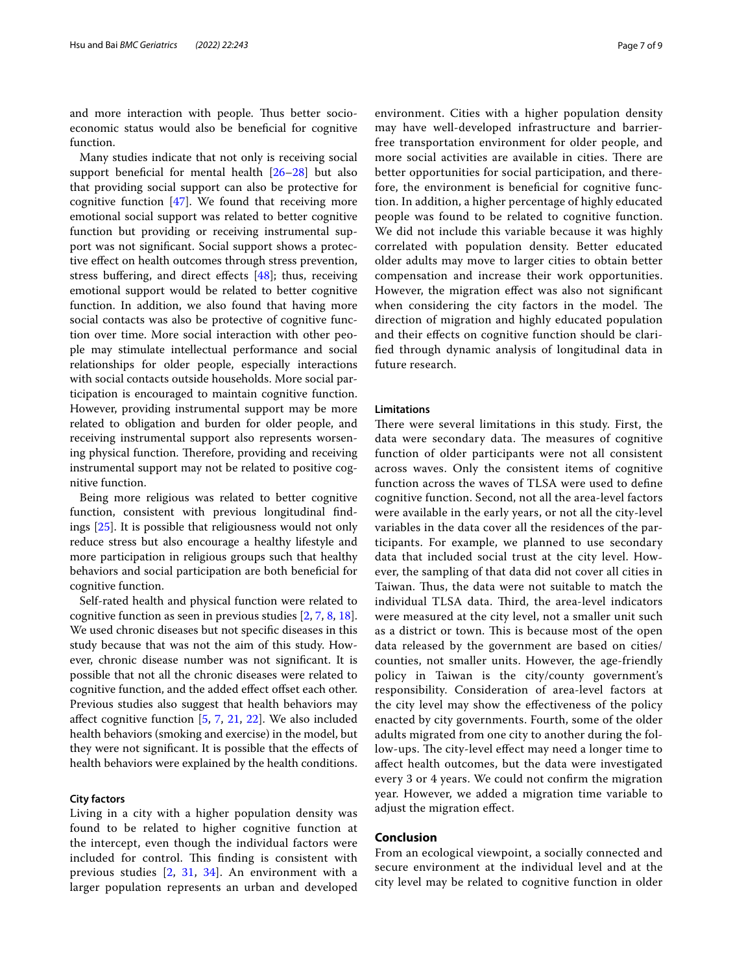and more interaction with people. Thus better socioeconomic status would also be benefcial for cognitive function.

Many studies indicate that not only is receiving social support beneficial for mental health [26-[28\]](#page-8-11) but also that providing social support can also be protective for cognitive function  $[47]$  $[47]$ . We found that receiving more emotional social support was related to better cognitive function but providing or receiving instrumental support was not signifcant. Social support shows a protective efect on health outcomes through stress prevention, stress buffering, and direct effects  $[48]$  $[48]$ ; thus, receiving emotional support would be related to better cognitive function. In addition, we also found that having more social contacts was also be protective of cognitive function over time. More social interaction with other people may stimulate intellectual performance and social relationships for older people, especially interactions with social contacts outside households. More social participation is encouraged to maintain cognitive function. However, providing instrumental support may be more related to obligation and burden for older people, and receiving instrumental support also represents worsening physical function. Therefore, providing and receiving instrumental support may not be related to positive cognitive function.

Being more religious was related to better cognitive function, consistent with previous longitudinal fndings [[25](#page-8-9)]. It is possible that religiousness would not only reduce stress but also encourage a healthy lifestyle and more participation in religious groups such that healthy behaviors and social participation are both benefcial for cognitive function.

Self-rated health and physical function were related to cognitive function as seen in previous studies [[2,](#page-7-1) [7](#page-7-9), [8,](#page-7-4) [18](#page-8-2)]. We used chronic diseases but not specifc diseases in this study because that was not the aim of this study. However, chronic disease number was not signifcant. It is possible that not all the chronic diseases were related to cognitive function, and the added effect offset each other. Previous studies also suggest that health behaviors may afect cognitive function [\[5](#page-7-12), [7,](#page-7-9) [21,](#page-8-5) [22](#page-8-6)]. We also included health behaviors (smoking and exercise) in the model, but they were not signifcant. It is possible that the efects of health behaviors were explained by the health conditions.

### **City factors**

Living in a city with a higher population density was found to be related to higher cognitive function at the intercept, even though the individual factors were included for control. This finding is consistent with previous studies [[2,](#page-7-1) [31,](#page-8-14) [34](#page-8-17)]. An environment with a larger population represents an urban and developed environment. Cities with a higher population density may have well-developed infrastructure and barrierfree transportation environment for older people, and more social activities are available in cities. There are better opportunities for social participation, and therefore, the environment is benefcial for cognitive function. In addition, a higher percentage of highly educated people was found to be related to cognitive function. We did not include this variable because it was highly correlated with population density. Better educated older adults may move to larger cities to obtain better compensation and increase their work opportunities. However, the migration efect was also not signifcant when considering the city factors in the model. The direction of migration and highly educated population and their efects on cognitive function should be clarifed through dynamic analysis of longitudinal data in future research.

#### **Limitations**

There were several limitations in this study. First, the data were secondary data. The measures of cognitive function of older participants were not all consistent across waves. Only the consistent items of cognitive function across the waves of TLSA were used to defne cognitive function. Second, not all the area-level factors were available in the early years, or not all the city-level variables in the data cover all the residences of the participants. For example, we planned to use secondary data that included social trust at the city level. However, the sampling of that data did not cover all cities in Taiwan. Thus, the data were not suitable to match the individual TLSA data. Third, the area-level indicators were measured at the city level, not a smaller unit such as a district or town. This is because most of the open data released by the government are based on cities/ counties, not smaller units. However, the age-friendly policy in Taiwan is the city/county government's responsibility. Consideration of area-level factors at the city level may show the efectiveness of the policy enacted by city governments. Fourth, some of the older adults migrated from one city to another during the follow-ups. The city-level effect may need a longer time to afect health outcomes, but the data were investigated every 3 or 4 years. We could not confrm the migration year. However, we added a migration time variable to adjust the migration efect.

## **Conclusion**

From an ecological viewpoint, a socially connected and secure environment at the individual level and at the city level may be related to cognitive function in older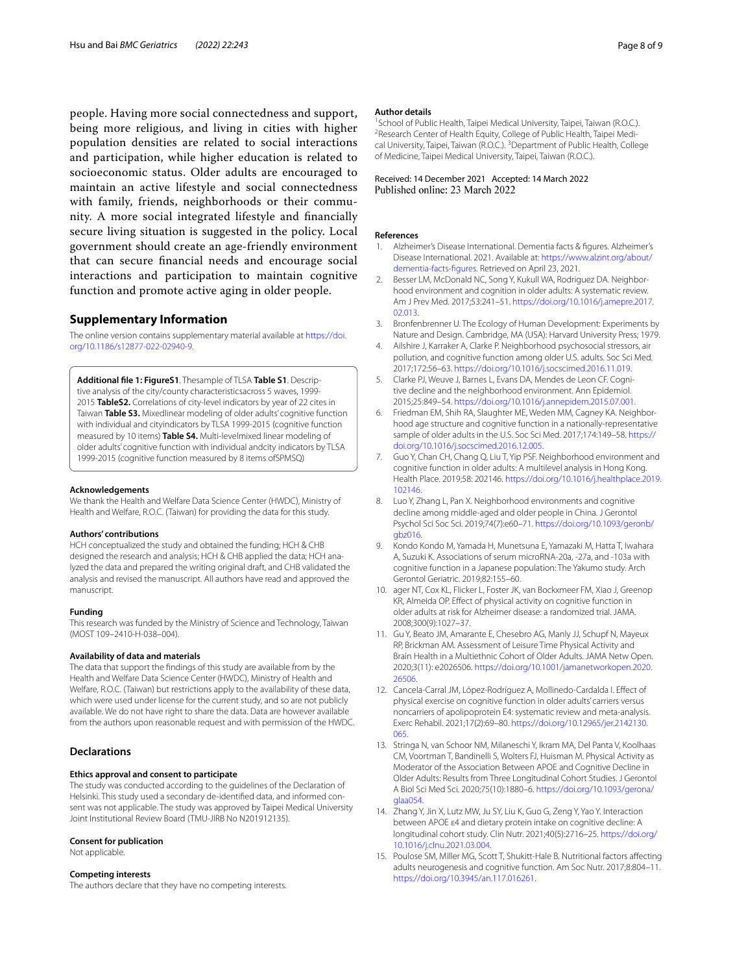people. Having more social connectedness and support, being more religious, and living in cities with higher population densities are related to social interactions and participation, while higher education is related to socioeconomic status. Older adults are encouraged to maintain an active lifestyle and social connectedness with family, friends, neighborhoods or their community. A more social integrated lifestyle and fnancially secure living situation is suggested in the policy. Local government should create an age-friendly environment that can secure fnancial needs and encourage social interactions and participation to maintain cognitive function and promote active aging in older people.

#### **Supplementary Information**

The online version contains supplementary material available at [https://doi.](https://doi.org/10.1186/s12877-022-02940-9) [org/10.1186/s12877-022-02940-9](https://doi.org/10.1186/s12877-022-02940-9).

<span id="page-7-13"></span>**Additional fle 1: FigureS1**. Thesample of TLSA **Table S1**. Descrip‑ tive analysis of the city/county characteristicsacross 5 waves, 1999-2015 **TableS2.** Correlations of city-level indicators by year of 22 cites in Taiwan **Table S3.** Mixedlinear modeling of older adults' cognitive function with individual and cityindicators by TLSA 1999-2015 (cognitive function measured by 10 items) **Table S4.** Multi-levelmixed linear modeling of older adults' cognitive function with individual andcity indicators by TLSA 1999-2015 (cognitive function measured by 8 items ofSPMSQ)

#### **Acknowledgements**

We thank the Health and Welfare Data Science Center (HWDC), Ministry of Health and Welfare, R.O.C. (Taiwan) for providing the data for this study.

#### **Authors' contributions**

HCH conceptualized the study and obtained the funding; HCH & CHB designed the research and analysis; HCH & CHB applied the data; HCH analyzed the data and prepared the writing original draft, and CHB validated the analysis and revised the manuscript. All authors have read and approved the manuscript.

#### **Funding**

This research was funded by the Ministry of Science and Technology, Taiwan (MOST 109–2410-H-038–004).

#### **Availability of data and materials**

The data that support the fndings of this study are available from by the Health and Welfare Data Science Center (HWDC), Ministry of Health and Welfare, R.O.C. (Taiwan) but restrictions apply to the availability of these data, which were used under license for the current study, and so are not publicly available. We do not have right to share the data. Data are however available from the authors upon reasonable request and with permission of the HWDC.

#### **Declarations**

#### **Ethics approval and consent to participate**

The study was conducted according to the guidelines of the Declaration of Helsinki. This study used a secondary de-identified data, and informed consent was not applicable. The study was approved by Taipei Medical University Joint Institutional Review Board (TMU-JIRB No N201912135).

#### **Consent for publication**

Not applicable.

#### **Competing interests**

The authors declare that they have no competing interests.

#### **Author details**

<sup>1</sup> School of Public Health, Taipei Medical University, Taipei, Taiwan (R.O.C.).<br><sup>2</sup> Besearch Center of Health Fquity, College of Public Health, Taipei Medi-<sup>2</sup> Research Center of Health Equity, College of Public Health, Taipei Medical University, Taipei, Taiwan (R.O.C.). <sup>3</sup> Department of Public Health, College of Medicine, Taipei Medical University, Taipei, Taiwan (R.O.C.).

# Received: 14 December 2021 Accepted: 14 March 2022

#### **References**

- <span id="page-7-0"></span>Alzheimer's Disease International. Dementia facts & figures. Alzheimer's Disease International. 2021. Available at: [https://www.alzint.org/about/](https://www.alzint.org/about/dementia-facts-figures) [dementia-facts-fgures](https://www.alzint.org/about/dementia-facts-figures). Retrieved on April 23, 2021.
- <span id="page-7-1"></span>Besser LM, McDonald NC, Song Y, Kukull WA, Rodriguez DA. Neighborhood environment and cognition in older adults: A systematic review. Am J Prev Med. 2017;53:241–51. [https://doi.org/10.1016/j.amepre.2017.](https://doi.org/10.1016/j.amepre.2017.02.013) [02.013](https://doi.org/10.1016/j.amepre.2017.02.013).
- <span id="page-7-2"></span>3. Bronfenbrenner U. The Ecology of Human Development: Experiments by Nature and Design. Cambridge, MA (USA): Harvard University Press; 1979.
- <span id="page-7-3"></span>4. Ailshire J, Karraker A, Clarke P. Neighborhood psychosocial stressors, air pollution, and cognitive function among older U.S. adults. Soc Sci Med. 2017;172:56–63.<https://doi.org/10.1016/j.socscimed.2016.11.019>.
- <span id="page-7-12"></span>5. Clarke PJ, Weuve J, Barnes L, Evans DA, Mendes de Leon CF. Cognitive decline and the neighborhood environment. Ann Epidemiol. 2015;25:849–54.<https://doi.org/10.1016/j.annepidem.2015.07.001>.
- <span id="page-7-5"></span>6. Friedman EM, Shih RA, Slaughter ME, Weden MM, Cagney KA. Neighborhood age structure and cognitive function in a nationally-representative sample of older adults in the U.S. Soc Sci Med. 2017;174:149–58. [https://](https://doi.org/10.1016/j.socscimed.2016.12.005) [doi.org/10.1016/j.socscimed.2016.12.005.](https://doi.org/10.1016/j.socscimed.2016.12.005)
- <span id="page-7-9"></span>7. Guo Y, Chan CH, Chang Q, Liu T, Yip PSF. Neighborhood environment and cognitive function in older adults: A multilevel analysis in Hong Kong. Health Place. 2019;58: 202146. [https://doi.org/10.1016/j.healthplace.2019.](https://doi.org/10.1016/j.healthplace.2019.102146) [102146.](https://doi.org/10.1016/j.healthplace.2019.102146)
- <span id="page-7-4"></span>8. Luo Y, Zhang L, Pan X. Neighborhood environments and cognitive decline among middle-aged and older people in China. J Gerontol Psychol Sci Soc Sci. 2019;74(7):e60–71. [https://doi.org/10.1093/geronb/](https://doi.org/10.1093/geronb/gbz016) [gbz016.](https://doi.org/10.1093/geronb/gbz016)
- <span id="page-7-6"></span>9. Kondo Kondo M, Yamada H, Munetsuna E, Yamazaki M, Hatta T, Iwahara A, Suzuki K. Associations of serum microRNA-20a, -27a, and -103a with cognitive function in a Japanese population: The Yakumo study. Arch Gerontol Geriatric. 2019;82:155–60.
- 10. ager NT, Cox KL, Flicker L, Foster JK, van Bockxmeer FM, Xiao J, Greenop KR, Almeida OP. Efect of physical activity on cognitive function in older adults at risk for Alzheimer disease: a randomized trial. JAMA. 2008;300(9):1027–37.
- 11. Gu Y, Beato JM, Amarante E, Chesebro AG, Manly JJ, Schupf N, Mayeux RP, Brickman AM. Assessment of Leisure Time Physical Activity and Brain Health in a Multiethnic Cohort of Older Adults. JAMA Netw Open. 2020;3(11): e2026506. [https://doi.org/10.1001/jamanetworkopen.2020.](https://doi.org/10.1001/jamanetworkopen.2020.26506) [26506](https://doi.org/10.1001/jamanetworkopen.2020.26506).
- <span id="page-7-10"></span>12. Cancela-Carral JM, López-Rodríguez A, Mollinedo-Cardalda I. Efect of physical exercise on cognitive function in older adults' carriers versus noncarriers of apolipoprotein E4: systematic review and meta-analysis. Exerc Rehabil. 2021;17(2):69–80. [https://doi.org/10.12965/jer.2142130.](https://doi.org/10.12965/jer.2142130.065) [065.](https://doi.org/10.12965/jer.2142130.065)
- <span id="page-7-11"></span>13. Stringa N, van Schoor NM, Milaneschi Y, Ikram MA, Del Panta V, Koolhaas CM, Voortman T, Bandinelli S, Wolters FJ, Huisman M. Physical Activity as Moderator of the Association Between APOE and Cognitive Decline in Older Adults: Results from Three Longitudinal Cohort Studies. J Gerontol A Biol Sci Med Sci. 2020;75(10):1880–6. [https://doi.org/10.1093/gerona/](https://doi.org/10.1093/gerona/glaa054) [glaa054](https://doi.org/10.1093/gerona/glaa054).
- <span id="page-7-7"></span>14. Zhang Y, Jin X, Lutz MW, Ju SY, Liu K, Guo G, Zeng Y, Yao Y. Interaction between APOE ε4 and dietary protein intake on cognitive decline: A longitudinal cohort study. Clin Nutr. 2021;40(5):2716–25. [https://doi.org/](https://doi.org/10.1016/j.clnu.2021.03.004) [10.1016/j.clnu.2021.03.004](https://doi.org/10.1016/j.clnu.2021.03.004).
- <span id="page-7-8"></span>15. Poulose SM, Miller MG, Scott T, Shukitt-Hale B. Nutritional factors afecting adults neurogenesis and cognitive function. Am Soc Nutr. 2017;8:804–11. [https://doi.org/10.3945/an.117.016261.](https://doi.org/10.3945/an.117.016261)